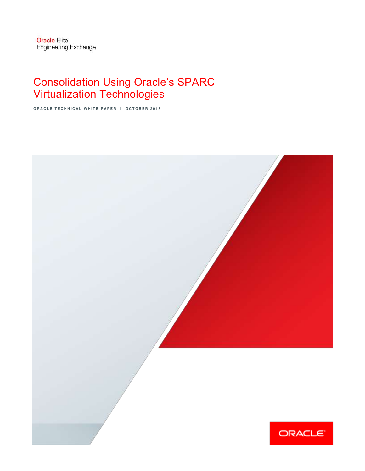# Consolidation Using Oracle's SPARC Virtualization Technologies

**ORACLE TECHNICAL WHITE PAPER | OCTOBER 2015**

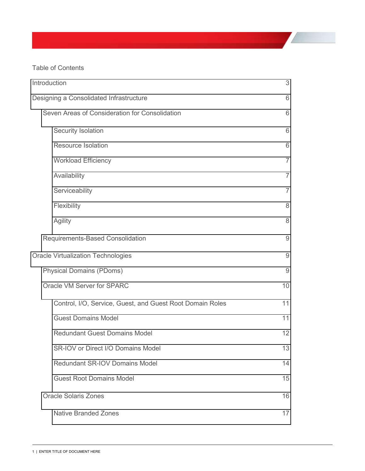Table of Contents

| Introduction                                              | 3              |
|-----------------------------------------------------------|----------------|
| Designing a Consolidated Infrastructure                   | 6              |
| Seven Areas of Consideration for Consolidation            | 6              |
| Security Isolation                                        | 6              |
| <b>Resource Isolation</b>                                 | 6              |
| <b>Workload Efficiency</b>                                | $\overline{7}$ |
| Availability                                              | $\overline{7}$ |
| Serviceability                                            | $\overline{7}$ |
| Flexibility                                               | 8              |
| Agility                                                   | 8              |
| Requirements-Based Consolidation                          | $\mathsf 9$    |
| <b>Oracle Virtualization Technologies</b>                 | 9              |
| <b>Physical Domains (PDoms)</b>                           | 9              |
| Oracle VM Server for SPARC                                | 10             |
| Control, I/O, Service, Guest, and Guest Root Domain Roles | 11             |
| <b>Guest Domains Model</b>                                | 11             |
| <b>Redundant Guest Domains Model</b>                      | 12             |
| SR-IOV or Direct I/O Domains Model                        | 13             |
| Redundant SR-IOV Domains Model                            | 14             |
| <b>Guest Root Domains Model</b>                           | 15             |
| <b>Oracle Solaris Zones</b>                               | 16             |
| <b>Native Branded Zones</b>                               | 17             |
|                                                           |                |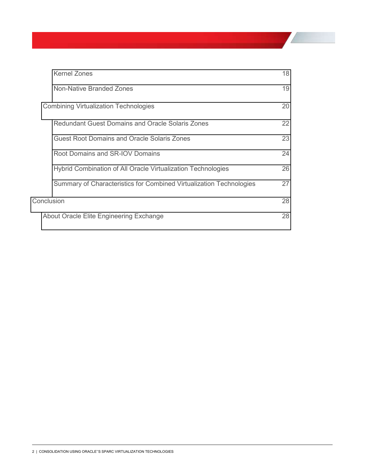| <b>Kernel Zones</b>                                                 | 18 |
|---------------------------------------------------------------------|----|
| Non-Native Branded Zones                                            | 19 |
| <b>Combining Virtualization Technologies</b>                        | 20 |
| <b>Redundant Guest Domains and Oracle Solaris Zones</b>             | 22 |
| Guest Root Domains and Oracle Solaris Zones                         | 23 |
| Root Domains and SR-IOV Domains                                     | 24 |
| Hybrid Combination of All Oracle Virtualization Technologies        | 26 |
| Summary of Characteristics for Combined Virtualization Technologies | 27 |
| Conclusion                                                          | 28 |
| About Oracle Elite Engineering Exchange                             | 28 |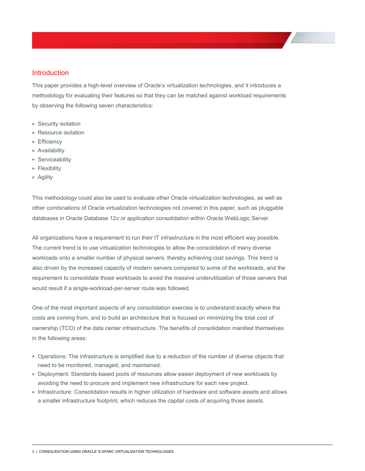# <span id="page-3-0"></span>Introduction

This paper provides a high-level overview of Oracle's virtualization technologies, and it introduces a methodology for evaluating their features so that they can be matched against workload requirements by observing the following seven characteristics:

- **»** Security isolation
- **»** Resource isolation
- **»** Efficiency
- **»** Availability
- **»** Serviceability
- **»** Flexibility
- **»** Agility

This methodology could also be used to evaluate other Oracle virtualization technologies, as well as other combinations of Oracle virtualization technologies not covered in this paper, such as pluggable databases in Oracle Database 12*c* or application consolidation within Oracle WebLogic Server.

All organizations have a requirement to run their IT infrastructure in the most efficient way possible. The current trend is to use virtualization technologies to allow the consolidation of many diverse workloads onto a smaller number of physical servers, thereby achieving cost savings. This trend is also driven by the increased capacity of modern servers compared to some of the workloads, and the requirement to consolidate those workloads to avoid the massive underutilization of those servers that would result if a single-workload-per-server route was followed.

One of the most important aspects of any consolidation exercise is to understand exactly where the costs are coming from, and to build an architecture that is focused on minimizing the total cost of ownership (TCO) of the data center infrastructure. The benefits of consolidation manifest themselves in the following areas:

- **»** Operations: The infrastructure is simplified due to a reduction of the number of diverse objects that need to be monitored, managed, and maintained.
- **»** Deployment: Standards-based pools of resources allow easier deployment of new workloads by avoiding the need to procure and implement new infrastructure for each new project.
- **»** Infrastructure: Consolidation results in higher utilization of hardware and software assets and allows a smaller infrastructure footprint, which reduces the capital costs of acquiring those assets.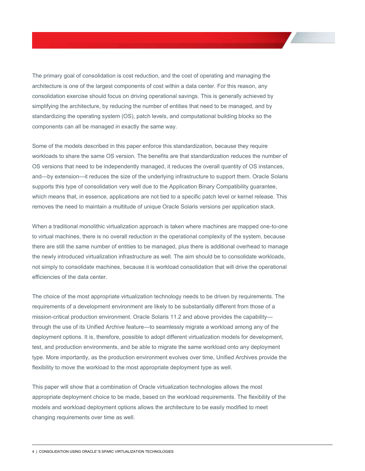The primary goal of consolidation is cost reduction, and the cost of operating and managing the architecture is one of the largest components of cost within a data center. For this reason, any consolidation exercise should focus on driving operational savings. This is generally achieved by simplifying the architecture, by reducing the number of entities that need to be managed, and by standardizing the operating system (OS), patch levels, and computational building blocks so the components can all be managed in exactly the same way.

Some of the models described in this paper enforce this standardization, because they require workloads to share the same OS version. The benefits are that standardization reduces the number of OS versions that need to be independently managed, it reduces the overall quantity of OS instances, and—by extension—it reduces the size of the underlying infrastructure to support them. Oracle Solaris supports this type of consolidation very well due to the Application Binary Compatibility guarantee, which means that, in essence, applications are not tied to a specific patch level or kernel release. This removes the need to maintain a multitude of unique Oracle Solaris versions per application stack.

When a traditional monolithic virtualization approach is taken where machines are mapped one-to-one to virtual machines, there is no overall reduction in the operational complexity of the system, because there are still the same number of entities to be managed, plus there is additional overhead to manage the newly introduced virtualization infrastructure as well. The aim should be to consolidate workloads, not simply to consolidate machines, because it is workload consolidation that will drive the operational efficiencies of the data center.

The choice of the most appropriate virtualization technology needs to be driven by requirements. The requirements of a development environment are likely to be substantially different from those of a mission-critical production environment. Oracle Solaris 11.2 and above provides the capabilitythrough the use of its Unified Archive feature--to seamlessly migrate a workload among any of the deployment options. It is, therefore, possible to adopt different virtualization models for development, test, and production environments, and be able to migrate the same workload onto any deployment type. More importantly, as the production environment evolves over time, Unified Archives provide the flexibility to move the workload to the most appropriate deployment type as well.

This paper will show that a combination of Oracle virtualization technologies allows the most appropriate deployment choice to be made, based on the workload requirements. The flexibility of the models and workload deployment options allows the architecture to be easily modified to meet changing requirements over time as well.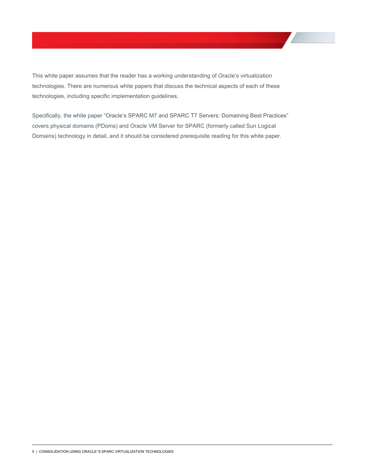This white paper assumes that the reader has a working understanding of Oracle's virtualization technologies. There are numerous white papers that discuss the technical aspects of each of these technologies, including specific implementation guidelines.

Specifically, the white paper "Oracle's SPARC M7 and SPARC T7 Servers: Domaining Best Practices" covers physical domains (PDoms) and Oracle VM Server for SPARC (formerly called Sun Logical Domains) technology in detail, and it should be considered prerequisite reading for this white paper.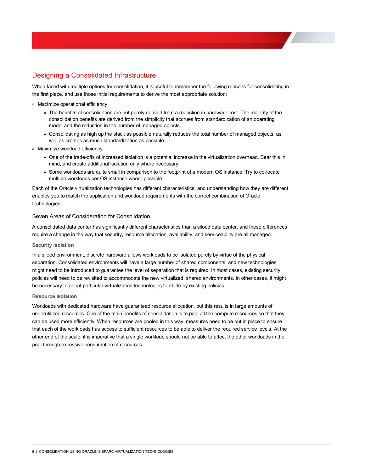# <span id="page-6-0"></span>Designing a Consolidated Infrastructure

When faced with multiple options for consolidation, it is useful to remember the following reasons for consolidating in the first place, and use those initial requirements to derive the most appropriate solution:

#### **»** Maximize operational efficiency

- **»** The benefits of consolidation are not purely derived from a reduction in hardware cost. The majority of the consolidation benefits are derived from the simplicity that accrues from standardization of an operating model and the reduction in the number of managed objects.
- **»** Consolidating as high up the stack as possible naturally reduces the total number of managed objects, as well as creates as much standardization as possible.
- **»** Maximize workload efficiency
	- **»** One of the trade-offs of increased isolation is a potential increase in the virtualization overhead. Bear this in mind, and create additional isolation only where necessary.
	- **»** Some workloads are quite small in comparison to the footprint of a modern OS instance. Try to co-locate multiple workloads per OS instance where possible.

Each of the Oracle virtualization technologies has different characteristics, and understanding how they are different enables you to match the application and workload requirements with the correct combination of Oracle technologies.

# <span id="page-6-1"></span>Seven Areas of Consideration for Consolidation

A consolidated data center has significantly different characteristics than a siloed data center, and these differences require a change in the way that security, resource allocation, availability, and serviceability are all managed.

# <span id="page-6-2"></span>**Security Isolation**

In a siloed environment, discrete hardware allows workloads to be isolated purely by virtue of the physical separation. Consolidated environments will have a large number of shared components, and new technologies might need to be introduced to guarantee the level of separation that is required. In most cases, existing security policies will need to be revisited to accommodate the new virtualized, shared environments. In other cases, it might be necessary to adopt particular virtualization technologies to abide by existing policies.

#### <span id="page-6-3"></span>**Resource Isolation**

Workloads with dedicated hardware have guaranteed resource allocation, but this results in large amounts of underutilized resources. One of the main benefits of consolidation is to pool all the compute resources so that they can be used more efficiently. When resources are pooled in this way, measures need to be put in place to ensure that each of the workloads has access to sufficient resources to be able to deliver the required service levels. At the other end of the scale, it is imperative that a single workload should not be able to affect the other workloads in the pool through excessive consumption of resources.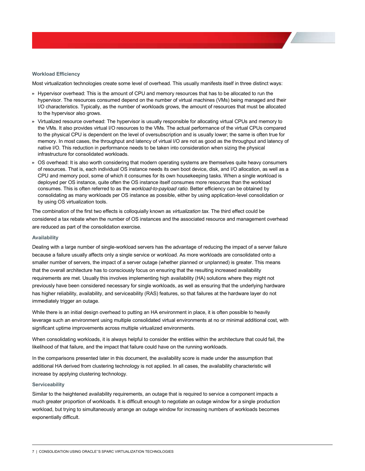#### <span id="page-7-0"></span>**Workload\*Efficiency**

Most virtualization technologies create some level of overhead. This usually manifests itself in three distinct ways:

- **»** Hypervisor overhead: This is the amount of CPU and memory resources that has to be allocated to run the hypervisor. The resources consumed depend on the number of virtual machines (VMs) being managed and their I/O characteristics. Typically, as the number of workloads grows, the amount of resources that must be allocated to the hypervisor also grows.
- **»** Virtualized resource overhead: The hypervisor is usually responsible for allocating virtual CPUs and memory to the VMs. It also provides virtual I/O resources to the VMs. The actual performance of the virtual CPUs compared to the physical CPU is dependent on the level of oversubscription and is usually lower; the same is often true for memory. In most cases, the throughput and latency of virtual I/O are not as good as the throughput and latency of native I/O. This reduction in performance needs to be taken into consideration when sizing the physical infrastructure for consolidated workloads.
- **»** OS overhead: It is also worth considering that modern operating systems are themselves quite heavy consumers of resources. That is, each individual OS instance needs its own boot device, disk, and I/O allocation, as well as a CPU and memory pool, some of which it consumes for its own housekeeping tasks. When a single workload is deployed per OS instance, quite often the OS instance itself consumes more resources than the workload consumes. This is often referred to as the *workload-to-payload ratio*. Better efficiency can be obtained by consolidating as many workloads per OS instance as possible, either by using application-level consolidation or by using OS virtualization tools.

The combination of the first two effects is colloquially known as *virtualization tax*. The third effect could be considered a tax rebate when the number of OS instances and the associated resource and management overhead are reduced as part of the consolidation exercise.

#### <span id="page-7-1"></span>**Availability**

Dealing with a large number of single-workload servers has the advantage of reducing the impact of a server failure because a failure usually affects only a single service or workload. As more workloads are consolidated onto a smaller number of servers, the impact of a server outage (whether planned or unplanned) is greater. This means that the overall architecture has to consciously focus on ensuring that the resulting increased availability requirements are met. Usually this involves implementing high availability (HA) solutions where they might not previously have been considered necessary for single workloads, as well as ensuring that the underlying hardware has higher reliability, availability, and serviceability (RAS) features, so that failures at the hardware layer do not immediately trigger an outage.

While there is an initial design overhead to putting an HA environment in place, it is often possible to heavily leverage such an environment using multiple consolidated virtual environments at no or minimal additional cost, with significant uptime improvements across multiple virtualized environments.

When consolidating workloads, it is always helpful to consider the entities within the architecture that could fail, the likelihood of that failure, and the impact that failure could have on the running workloads.

In the comparisons presented later in this document, the availability score is made under the assumption that additional HA derived from clustering technology is not applied. In all cases, the availability characteristic will increase by applying clustering technology.

#### <span id="page-7-2"></span>**Serviceability**

Similar to the heightened availability requirements, an outage that is required to service a component impacts a much greater proportion of workloads. It is difficult enough to negotiate an outage window for a single production workload, but trying to simultaneously arrange an outage window for increasing numbers of workloads becomes exponentially difficult.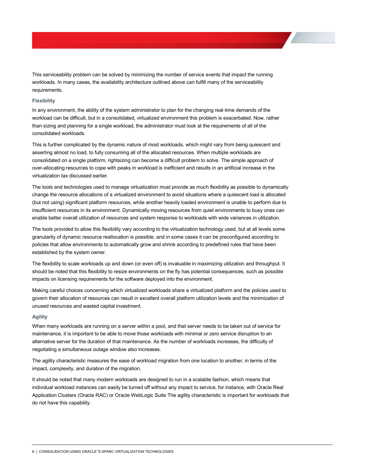This serviceability problem can be solved by minimizing the number of service events that impact the running workloads. In many cases, the availability architecture outlined above can fulfill many of the serviceability requirements.

### <span id="page-8-0"></span>**Flexibility**

In any environment, the ability of the system administrator to plan for the changing real-time demands of the workload can be difficult, but in a consolidated, virtualized environment this problem is exacerbated. Now, rather than sizing and planning for a single workload, the administrator must look at the requirements of all of the consolidated workloads.

This is further complicated by the dynamic nature of most workloads, which might vary from being quiescent and asserting almost no load, to fully consuming all of the allocated resources. When multiple workloads are consolidated on a single platform, rightsizing can become a difficult problem to solve. The simple approach of over-allocating resources to cope with peaks in workload is inefficient and results in an artificial increase in the virtualization tax discussed earlier.

The tools and technologies used to manage virtualization must provide as much flexibility as possible to dynamically change the resource allocations of a virtualized environment to avoid situations where a quiescent load is allocated (but not using) significant platform resources, while another heavily loaded environment is unable to perform due to insufficient resources in its environment. Dynamically moving resources from quiet environments to busy ones can enable better overall utilization of resources and system response to workloads with wide variances in utilization.

The tools provided to allow this flexibility vary according to the virtualization technology used, but at all levels some granularity of dynamic resource reallocation is possible, and in some cases it can be preconfigured according to policies that allow environments to automatically grow and shrink according to predefined rules that have been established by the system owner.

The flexibility to scale workloads up and down (or even off) is invaluable in maximizing utilization and throughput. It should be noted that this flexibility to resize environments on the fly has potential consequences, such as possible impacts on licensing requirements for the software deployed into the environment.

Making careful choices concerning which virtualized workloads share a virtualized platform and the policies used to govern their allocation of resources can result in excellent overall platform utilization levels and the minimization of unused resources and wasted capital investment.

#### <span id="page-8-1"></span>**Agility**

When many workloads are running on a server within a pool, and that server needs to be taken out of service for maintenance, it is important to be able to move those workloads with minimal or zero service disruption to an alternative server for the duration of that maintenance. As the number of workloads increases, the difficulty of negotiating a simultaneous outage window also increases.

The agility characteristic measures the ease of workload migration from one location to another, in terms of the impact, complexity, and duration of the migration.

It should be noted that many modern workloads are designed to run in a scalable fashion, which means that individual workload instances can easily be turned off without any impact to service, for instance, with Oracle Real Application Clusters (Oracle RAC) or Oracle WebLogic Suite The agility characteristic is important for workloads that do not have this capability.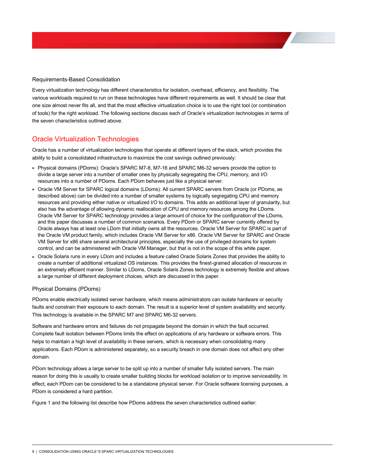<span id="page-9-0"></span>Requirements-Based Consolidation

Every virtualization technology has different characteristics for isolation, overhead, efficiency, and flexibility. The various workloads required to run on these technologies have different requirements as well. It should be clear that one size almost never fits all, and that the most effective virtualization choice is to use the right tool (or combination of tools) for the right workload. The following sections discuss each of Oracle's virtualization technologies in terms of the seven characteristics outlined above.

# <span id="page-9-1"></span>Oracle Virtualization Technologies

Oracle has a number of virtualization technologies that operate at different layers of the stack, which provides the ability to build a consolidated infrastructure to maximize the cost savings outlined previously:

- » Physical domains (PDoms): Oracle's SPARC M7-8, M7-16 and SPARC M6-32 servers provide the option to divide a large server into a number of smaller ones by physically segregating the CPU, memory, and I/O resources into a number of PDoms. Each PDom behaves just like a physical server.
- **»** Oracle VM Server for SPARC logical domains (LDoms): All current SPARC servers from Oracle (or PDoms, as described above) can be divided into a number of smaller systems by logically segregating CPU and memory resources and providing either native or virtualized I/O to domains. This adds an additional layer of granularity, but also has the advantage of allowing dynamic reallocation of CPU and memory resources among the LDoms. Oracle VM Server for SPARC technology provides a large amount of choice for the configuration of the LDoms, and this paper discusses a number of common scenarios. Every PDom or SPARC server currently offered by Oracle always has at least one LDom that initially owns all the resources. Oracle VM Server for SPARC is part of the Oracle VM product family, which includes Oracle VM Server for x86. Oracle VM Server for SPARC and Oracle VM Server for x86 share several architectural principles, especially the use of privileged domains for system control, and can be administered with Oracle VM Manager, but that is not in the scope of this white paper.
- **»** Oracle Solaris runs in every LDom and includes a feature called Oracle Solaris Zones that provides the ability to create a number of additional virtualized OS instances. This provides the finest-grained allocation of resources in an extremely efficient manner. Similar to LDoms, Oracle Solaris Zones technology is extremely flexible and allows a large number of different deployment choices, which are discussed in this paper.

# <span id="page-9-2"></span>Physical Domains (PDoms)

PDoms enable electrically isolated server hardware, which means administrators can isolate hardware or security faults and constrain their exposure to each domain. The result is a superior level of system availability and security. This technology is available in the SPARC M7 and SPARC M6-32 servers.

Software and hardware errors and failures do not propagate beyond the domain in which the fault occurred. Complete fault isolation between PDoms limits the effect on applications of any hardware or software errors. This helps to maintain a high level of availability in these servers, which is necessary when consolidating many applications. Each PDom is administered separately, so a security breach in one domain does not affect any other domain.

PDom technology allows a large server to be split up into a number of smaller fully isolated servers. The main reason for doing this is usually to create smaller building blocks for workload isolation or to improve serviceability. In effect, each PDom can be considered to be a standalone physical server. For Oracle software licensing purposes, a PDom is considered a hard partition.

Figure 1 and the following list describe how PDoms address the seven characteristics outlined earlier: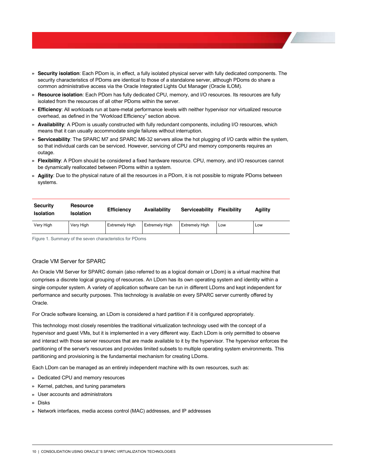- **» Security isolation**: Each PDom is, in effect, a fully isolated physical server with fully dedicated components. The security characteristics of PDoms are identical to those of a standalone server, although PDoms do share a common administrative access via the Oracle Integrated Lights Out Manager (Oracle ILOM).
- **» Resource isolation**: Each PDom has fully dedicated CPU, memory, and I/O resources. Its resources are fully isolated from the resources of all other PDoms within the server.
- **» Efficiency**: All workloads run at bare-metal performance levels with neither hypervisor nor virtualized resource overhead, as defined in the "Workload Efficiency" section above.
- **» Availability**: A PDom is usually constructed with fully redundant components, including I/O resources, which means that it can usually accommodate single failures without interruption.
- **» Serviceability**: The SPARC M7 and SPARC M6-32 servers allow the hot plugging of I/O cards within the system, so that individual cards can be serviced. However, servicing of CPU and memory components requires an outage.
- **» Flexibility**: A PDom should be considered a fixed hardware resource. CPU, memory, and I/O resources cannot be dynamically reallocated between PDoms within a system.
- **» Agility**: Due to the physical nature of all the resources in a PDom, it is not possible to migrate PDoms between systems.

| <b>Security</b><br><b>Isolation</b> | <b>Resource</b><br><b>Isolation</b> | <b>Efficiency</b>     | Availability          | Serviceability        | <b>Flexibility</b> | Agility |
|-------------------------------------|-------------------------------------|-----------------------|-----------------------|-----------------------|--------------------|---------|
| Very High                           | Very High                           | <b>Extremely High</b> | <b>Extremely High</b> | <b>Extremely High</b> | Low                | Low     |

Figure 1. Summary of the seven characteristics for PDoms

# <span id="page-10-0"></span>Oracle VM Server for SPARC

An Oracle VM Server for SPARC domain (also referred to as a logical domain or LDom) is a virtual machine that comprises a discrete logical grouping of resources. An LDom has its own operating system and identity within a single computer system. A variety of application software can be run in different LDoms and kept independent for performance and security purposes. This technology is available on every SPARC server currently offered by Oracle.

For Oracle software licensing, an LDom is considered a hard partition if it is configured appropriately.

This technology most closely resembles the traditional virtualization technology used with the concept of a hypervisor and guest VMs, but it is implemented in a very different way. Each LDom is only permitted to observe and interact with those server resources that are made available to it by the hypervisor. The hypervisor enforces the partitioning of the server's resources and provides limited subsets to multiple operating system environments. This partitioning and provisioning is the fundamental mechanism for creating LDoms.

Each LDom can be managed as an entirely independent machine with its own resources, such as:

- **»** Dedicated CPU and memory resources
- **»** Kernel, patches, and tuning parameters
- **»** User accounts and administrators
- **»** Disks
- **»** Network interfaces, media access control (MAC) addresses, and IP addresses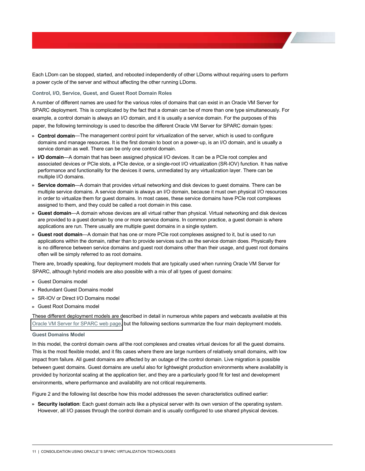Each LDom can be stopped, started, and rebooted independently of other LDoms without requiring users to perform a power cycle of the server and without affecting the other running LDoms.

#### <span id="page-11-0"></span>Control, I/O, Service, Guest, and Guest Root Domain Roles

A number of different names are used for the various roles of domains that can exist in an Oracle VM Server for SPARC deployment. This is complicated by the fact that a domain can be of more than one type simultaneously. For example, a control domain is always an I/O domain, and it is usually a service domain. For the purposes of this paper, the following terminology is used to describe the different Oracle VM Server for SPARC domain types:

- » **Control domain**—The management control point for virtualization of the server, which is used to configure domains and manage resources. It is the first domain to boot on a power-up, is an I/O domain, and is usually a service domain as well. There can be only one control domain.
- » **I/O domain**—A domain that has been assigned physical I/O devices. It can be a PCIe root complex and associated devices or PCIe slots, a PCIe device, or a single-root I/O virtualization (SR-IOV) function. It has native performance and functionality for the devices it owns, unmediated by any virtualization layer. There can be multiple I/O domains.
- » **Service domain—A** domain that provides virtual networking and disk devices to guest domains. There can be multiple service domains. A service domain is always an I/O domain, because it must own physical I/O resources in order to virtualize them for guest domains. In most cases, these service domains have PCIe root complexes assigned to them, and they could be called a root domain in this case.
- » Guest domain—A domain whose devices are all virtual rather than physical. Virtual networking and disk devices are provided to a guest domain by one or more service domains. In common practice, a guest domain is where applications are run. There usually are multiple guest domains in a single system.
- » Guest root domain-A domain that has one or more PCIe root complexes assigned to it, but is used to run applications within the domain, rather than to provide services such as the service domain does. Physically there is no difference between service domains and guest root domains other than their usage, and guest root domains often will be simply referred to as root domains.

There are, broadly speaking, four deployment models that are typically used when running Oracle VM Server for SPARC, although hybrid models are also possible with a mix of all types of guest domains:

- **»** Guest Domains model
- **»** Redundant Guest Domains model
- **»** SR-IOV or Direct I/O Domains model
- **»** Guest Root Domains model

These different deployment models are described in detail in numerous white papers and webcasts available at this [Oracle VM Server for SPARC web page,](http://www.oracle.com/technetwork/server-storage/vm/documentation/logical-domains-articles-160640.html) but the following sections summarize the four main deployment models.

#### <span id="page-11-1"></span>**Guest Domains Model**

In this model, the control domain owns *all* the root complexes and creates virtual devices for all the guest domains. This is the most flexible model, and it fits cases where there are large numbers of relatively small domains, with low impact from failure. All guest domains are affected by an outage of the control domain. Live migration is possible between guest domains. Guest domains are useful also for lightweight production environments where availability is provided by horizontal scaling at the application tier, and they are a particularly good fit for test and development environments, where performance and availability are not critical requirements.

Figure 2 and the following list describe how this model addresses the seven characteristics outlined earlier:

**» Security isolation**: Each guest domain acts like a physical server with its own version of the operating system. However, all I/O passes through the control domain and is usually configured to use shared physical devices.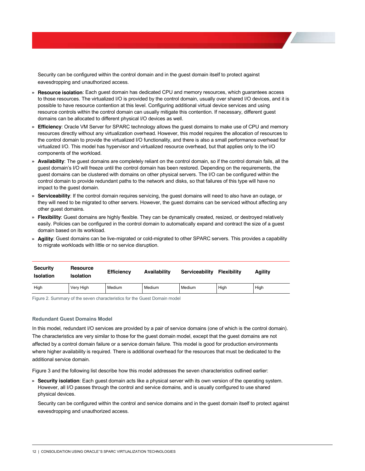Security can be configured within the control domain and in the guest domain itself to protect against eavesdropping and unauthorized access.

- **» Resource isolation**: Each guest domain has dedicated CPU and memory resources, which guarantees access to those resources. The virtualized I/O is provided by the control domain, usually over shared I/O devices, and it is possible to have resource contention at this level. Configuring additional virtual device services and using resource controls within the control domain can usually mitigate this contention. If necessary, different guest domains can be allocated to different physical I/O devices as well.
- **» Efficiency**: Oracle VM Server for SPARC technology allows the guest domains to make use of CPU and memory resources directly without any virtualization overhead. However, this model requires the allocation of resources to the control domain to provide the virtualized I/O functionality, and there is also a small performance overhead for virtualized I/O. This model has hypervisor and virtualized resource overhead, but that applies only to the I/O components of the workload.
- **» Availability**: The guest domains are completely reliant on the control domain, so if the control domain fails, all the quest domain's I/O will freeze until the control domain has been restored. Depending on the requirements, the guest domains can be clustered with domains on other physical servers. The I/O can be configured within the control domain to provide redundant paths to the network and disks, so that failures of this type will have no impact to the guest domain.
- **» Serviceability**: If the control domain requires servicing, the guest domains will need to also have an outage, or they will need to be migrated to other servers. However, the guest domains can be serviced without affecting any other guest domains.
- **» Flexibility**: Guest domains are highly flexible. They can be dynamically created, resized, or destroyed relatively easily. Policies can be configured in the control domain to automatically expand and contract the size of a guest domain based on its workload.
- **» Agility**: Guest domains can be live-migrated or cold-migrated to other SPARC servers. This provides a capability to migrate workloads with little or no service disruption.

| <b>Security</b><br><b>Isolation</b> | <b>Resource</b><br><b>Isolation</b> | <b>Efficiency</b> | Availability | Serviceability | <b>Flexibility</b> | Agility |
|-------------------------------------|-------------------------------------|-------------------|--------------|----------------|--------------------|---------|
| High                                | Very High                           | Medium            | Medium       | Medium         | High               | High    |

Figure 2. Summary of the seven characteristics for the Guest Domain model

#### <span id="page-12-0"></span>**Redundant Guest Domains Model**

In this model, redundant I/O services are provided by a pair of service domains (one of which is the control domain). The characteristics are very similar to those for the guest domain model, except that the guest domains are not affected by a control domain failure or a service domain failure. This model is good for production environments where higher availability is required. There is additional overhead for the resources that must be dedicated to the additional service domain.

Figure 3 and the following list describe how this model addresses the seven characteristics outlined earlier:

**» Security isolation**: Each guest domain acts like a physical server with its own version of the operating system. However, all I/O passes through the control and service domains, and is usually configured to use shared physical devices.

Security can be configured within the control and service domains and in the guest domain itself to protect against eavesdropping and unauthorized access.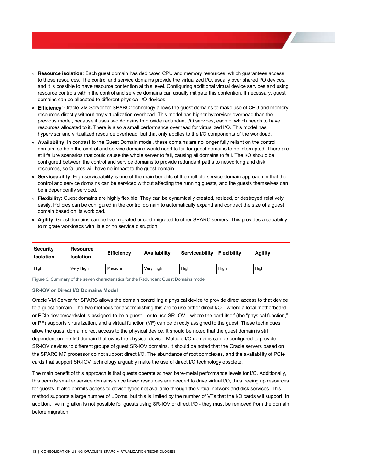- **» Resource isolation**: Each guest domain has dedicated CPU and memory resources, which guarantees access to those resources. The control and service domains provide the virtualized I/O, usually over shared I/O devices, and it is possible to have resource contention at this level. Configuring additional virtual device services and using resource controls within the control and service domains can usually mitigate this contention. If necessary, guest domains can be allocated to different physical I/O devices.
- **» Efficiency**: Oracle VM Server for SPARC technology allows the guest domains to make use of CPU and memory resources directly without any virtualization overhead. This model has higher hypervisor overhead than the previous model, because it uses two domains to provide redundant I/O services, each of which needs to have resources allocated to it. There is also a small performance overhead for virtualized I/O. This model has hypervisor and virtualized resource overhead, but that only applies to the I/O components of the workload.
- **» Availability**: In contrast to the Guest Domain model, these domains are no longer fully reliant on the control domain, so both the control and service domains would need to fail for guest domains to be interrupted. There are still failure scenarios that could cause the whole server to fail, causing all domains to fail. The I/O should be configured between the control and service domains to provide redundant paths to networking and disk resources, so failures will have no impact to the guest domain.
- **» Serviceability**: High serviceability is one of the main benefits of the multiple-service-domain approach in that the control and service domains can be serviced without affecting the running guests, and the guests themselves can be independently serviced.
- **» Flexibility**: Guest domains are highly flexible. They can be dynamically created, resized, or destroyed relatively easily. Policies can be configured in the control domain to automatically expand and contract the size of a guest domain based on its workload.
- **» Agility**: Guest domains can be live-migrated or cold-migrated to other SPARC servers. This provides a capability to migrate workloads with little or no service disruption.

| <b>Security</b><br><b>Isolation</b> | <b>Resource</b><br><b>Isolation</b> | <b>Efficiency</b> | Availability | Serviceability | <b>Flexibility</b> | Agility |
|-------------------------------------|-------------------------------------|-------------------|--------------|----------------|--------------------|---------|
| High                                | Very High                           | Medium            | Very High    | High           | High               | High    |

Figure 3. Summary of the seven characteristics for the Redundant Guest Domains model

#### <span id="page-13-0"></span>**SR-IOV or Direct I/O Domains Model**

Oracle VM Server for SPARC allows the domain controlling a physical device to provide direct access to that device to a guest domain. The two methods for accomplishing this are to use either direct I/O—where a local motherboard or PCIe device/card/slot is assigned to be a quest—or to use SR-IOV—where the card itself (the "physical function," or PF) supports virtualization, and a virtual function (VF) can be directly assigned to the guest. These techniques allow the guest domain direct access to the physical device. It should be noted that the guest domain is still dependent on the I/O domain that owns the physical device. Multiple I/O domains can be configured to provide SR-IOV devices to different groups of guest SR-IOV domains. It should be noted that the Oracle servers based on the SPARC M7 processor do not support direct I/O. The abundance of root complexes, and the availability of PCIe cards that support SR-IOV technology arguably make the use of direct I/O technology obsolete.

The main benefit of this approach is that guests operate at near bare-metal performance levels for I/O. Additionally, this permits smaller service domains since fewer resources are needed to drive virtual I/O, thus freeing up resources for guests. It also permits access to device types not available through the virtual network and disk services. This method supports a large number of LDoms, but this is limited by the number of VFs that the I/O cards will support. In addition, live migration is not possible for guests using SR-IOV or direct I/O - they must be removed from the domain before migration.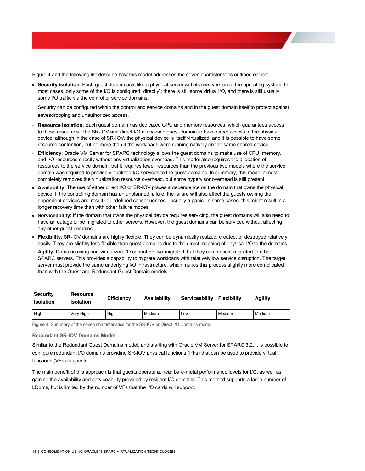Figure 4 and the following list describe how this model addresses the seven characteristics outlined earlier:

**» Security isolation**: Each guest domain acts like a physical server with its own version of the operating system. In most cases, only some of the I/O is configured "directly"; there is still some virtual I/O, and there is still usually some I/O traffic via the control or service domains.

Security can be configured within the control and service domains and in the guest domain itself to protect against eavesdropping and unauthorized access.

- **» Resource isolation**: Each guest domain has dedicated CPU and memory resources, which guarantees access to those resources. The SR-IOV and direct I/O allow each guest domain to have direct access to the physical device, although in the case of SR-IOV, the physical device is itself virtualized, and it is possible to have some resource contention, but no more than if the workloads were running natively on the same shared device.
- **» Efficiency**: Oracle VM Server for SPARC technology allows the guest domains to make use of CPU, memory, and I/O resources directly without any virtualization overhead. This model also requires the allocation of resources to the service domain, but it requires fewer resources than the previous two models where the service domain was required to provide virtualized I/O services to the guest domains. In summary, this model almost completely removes the virtualization resource overhead, but some hypervisor overhead is still present.
- **» Availability**: The use of either direct I/O or SR-IOV places a dependence on the domain that owns the physical device. If the controlling domain has an unplanned failure, the failure will also affect the guests owning the dependent devices and result in undefined consequences—usually a panic. In some cases, this might result in a longer recovery time than with other failure modes.
- **» Serviceability**: If the domain that owns the physical device requires servicing, the guest domains will also need to have an outage or be migrated to other servers. However, the guest domains can be serviced without affecting any other guest domains.
- **» Flexibility**: SR-IOV domains are highly flexible. They can be dynamically resized, created, or destroyed relatively easily. They are slightly less flexible than guest domains due to the direct mapping of physical I/O to the domains. **Agility**: Domains using non-virtualized I/O cannot be live-migrated, but they can be cold-migrated to other SPARC servers. This provides a capability to migrate workloads with relatively low service disruption. The target server must provide the same underlying I/O infrastructure, which makes this process slightly more complicated than with the Guest and Redundant Guest Domain models.

| <b>Security</b><br><b>Isolation</b> | <b>Resource</b><br><b>Isolation</b> | <b>Efficiency</b> | Availability | Serviceability | <b>Flexibility</b> | Agility |
|-------------------------------------|-------------------------------------|-------------------|--------------|----------------|--------------------|---------|
| High                                | Very High                           | High              | Medium       | Low            | Medium             | Medium  |

Figure 4. Summary of the seven characteristics for the SR-IOV or Direct I/O Domains model

#### <span id="page-14-0"></span>**Redundant SR-IOV Domains Model**

Similar to the Redundant Guest Domains model, and starting with Oracle VM Server for SPARC 3.2, it is possible to configure redundant I/O domains providing SR-IOV physical functions (PFs) that can be used to provide virtual functions (VFs) to guests.

The main benefit of this approach is that guests operate at near bare-metal performance levels for I/O, as well as gaining the availability and serviceability provided by resilient I/O domains. This method supports a large number of LDoms, but is limited by the number of VFs that the I/O cards will support.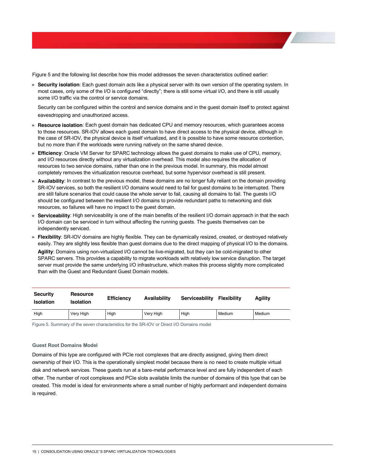Figure 5 and the following list describe how this model addresses the seven characteristics outlined earlier:

**» Security isolation**: Each guest domain acts like a physical server with its own version of the operating system. In most cases, only some of the I/O is configured "directly"; there is still some virtual I/O, and there is still usually some I/O traffic via the control or service domains.

Security can be configured within the control and service domains and in the guest domain itself to protect against eavesdropping and unauthorized access.

- **» Resource isolation**: Each guest domain has dedicated CPU and memory resources, which guarantees access to those resources. SR-IOV allows each guest domain to have direct access to the physical device, although in the case of SR-IOV, the physical device is itself virtualized, and it is possible to have some resource contention, but no more than if the workloads were running natively on the same shared device.
- **» Efficiency**: Oracle VM Server for SPARC technology allows the guest domains to make use of CPU, memory, and I/O resources directly without any virtualization overhead. This model also requires the allocation of resources to two service domains, rather than one in the previous model. In summary, this model almost completely removes the virtualization resource overhead, but some hypervisor overhead is still present.
- **» Availability**: In contrast to the previous model, these domains are no longer fully reliant on the domain providing SR-IOV services, so both the resilient I/O domains would need to fail for guest domains to be interrupted. There are still failure scenarios that could cause the whole server to fail, causing all domains to fail. The guests I/O should be configured between the resilient I/O domains to provide redundant paths to networking and disk resources, so failures will have no impact to the guest domain.
- **» Serviceability**: High serviceability is one of the main benefits of the resilient I/O domain approach in that the each I/O domain can be serviced in turn without affecting the running guests. The guests themselves can be independently serviced.
- **» Flexibility**: SR-IOV domains are highly flexible. They can be dynamically resized, created, or destroyed relatively easily. They are slightly less flexible than guest domains due to the direct mapping of physical I/O to the domains. **Agility**: Domains using non-virtualized I/O cannot be live-migrated, but they can be cold-migrated to other SPARC servers. This provides a capability to migrate workloads with relatively low service disruption. The target server must provide the same underlying I/O infrastructure, which makes this process slightly more complicated than with the Guest and Redundant Guest Domain models.

| <b>Security</b><br><b>Isolation</b> | <b>Resource</b><br><b>Isolation</b> | <b>Efficiency</b> | Availability | Serviceability | Flexibility | Agility |
|-------------------------------------|-------------------------------------|-------------------|--------------|----------------|-------------|---------|
| High                                | Very High                           | High              | Very High    | High           | Medium      | Medium  |

Figure 5. Summary of the seven characteristics for the SR-IOV or Direct I/O Domains model

#### <span id="page-15-0"></span>**Guest Root Domains Model**

Domains of this type are configured with PCIe root complexes that are directly assigned, giving them direct ownership of their I/O. This is the operationally simplest model because there is no need to create multiple virtual disk and network services. These guests run at a bare-metal performance level and are fully independent of each other. The number of root complexes and PCIe slots available limits the number of domains of this type that can be created. This model is ideal for environments where a small number of highly performant and independent domains is required.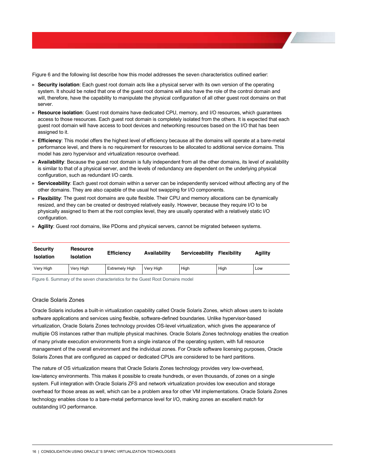Figure 6 and the following list describe how this model addresses the seven characteristics outlined earlier:

- **» Security isolation**: Each guest root domain acts like a physical server with its own version of the operating system. It should be noted that one of the guest root domains will also have the role of the control domain and will, therefore, have the capability to manipulate the physical configuration of all other guest root domains on that server.
- **» Resource isolation**: Guest root domains have dedicated CPU, memory, and I/O resources, which guarantees access to those resources. Each guest root domain is completely isolated from the others. It is expected that each guest root domain will have access to boot devices and networking resources based on the I/O that has been assigned to it.
- **» Efficiency**: This model offers the highest level of efficiency because all the domains will operate at a bare-metal performance level, and there is no requirement for resources to be allocated to additional service domains. This model has zero hypervisor and virtualization resource overhead.
- **» Availability**: Because the guest root domain is fully independent from all the other domains, its level of availability is similar to that of a physical server, and the levels of redundancy are dependent on the underlying physical configuration, such as redundant I/O cards.
- **» Serviceability**: Each guest root domain within a server can be independently serviced without affecting any of the other domains. They are also capable of the usual hot swapping for I/O components.
- **» Flexibility**: The guest root domains are quite flexible. Their CPU and memory allocations can be dynamically resized, and they can be created or destroyed relatively easily. However, because they require I/O to be physically assigned to them at the root complex level, they are usually operated with a relatively static I/O configuration.
- **» Agility**: Guest root domains, like PDoms and physical servers, cannot be migrated between systems.

| <b>Security</b><br><b>Isolation</b> | <b>Resource</b><br><b>Isolation</b> | <b>Efficiency</b>     | Availability | Serviceability | <b>Flexibility</b> | Aaility |
|-------------------------------------|-------------------------------------|-----------------------|--------------|----------------|--------------------|---------|
| Very High                           | Very High                           | <b>Extremely High</b> | Very High    | High           | High               | Low     |

Figure 6. Summary of the seven characteristics for the Guest Root Domains model

## <span id="page-16-0"></span>Oracle Solaris Zones

Oracle Solaris includes a built-in virtualization capability called Oracle Solaris Zones, which allows users to isolate software applications and services using flexible, software-defined boundaries. Unlike hypervisor-based virtualization, Oracle Solaris Zones technology provides OS-level virtualization, which gives the appearance of multiple OS instances rather than multiple physical machines. Oracle Solaris Zones technology enables the creation of many private execution environments from a single instance of the operating system, with full resource management of the overall environment and the individual zones. For Oracle software licensing purposes, Oracle Solaris Zones that are configured as capped or dedicated CPUs are considered to be hard partitions.

The nature of OS virtualization means that Oracle Solaris Zones technology provides very low-overhead, low-latency environments. This makes it possible to create hundreds, or even thousands, of zones on a single system. Full integration with Oracle Solaris ZFS and network virtualization provides low execution and storage overhead for those areas as well, which can be a problem area for other VM implementations. Oracle Solaris Zones technology enables close to a bare-metal performance level for I/O, making zones an excellent match for outstanding I/O performance.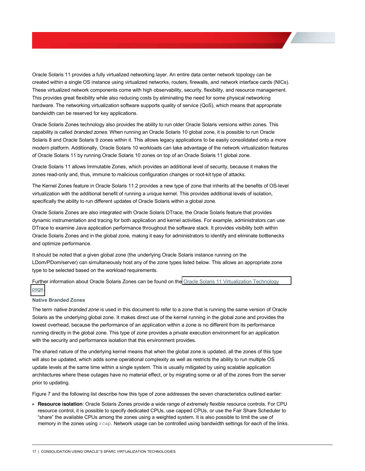Oracle Solaris 11 provides a fully virtualized networking layer. An entire data center network topology can be created within a single OS instance using virtualized networks, routers, firewalls, and network interface cards (NICs). These virtualized network components come with high observability, security, flexibility, and resource management. This provides great flexibility while also reducing costs by eliminating the need for some physical networking hardware. The networking virtualization software supports quality of service (QoS), which means that appropriate bandwidth can be reserved for key applications.

Oracle Solaris Zones technology also provides the ability to run older Oracle Solaris versions within zones. This capability is called *branded zones*. When running an Oracle Solaris 10 global zone, it is possible to run Oracle Solaris 8 and Oracle Solaris 9 zones within it. This allows legacy applications to be easily consolidated onto a more modern platform. Additionally, Oracle Solaris 10 workloads can take advantage of the network virtualization features of Oracle Solaris 11 by running Oracle Solaris 10 zones on top of an Oracle Solaris 11 global zone.

Oracle Solaris 11 allows Immutable Zones, which provides an additional level of security, because it makes the zones read-only and, thus, immune to malicious configuration changes or root-kit type of attacks.

The Kernel Zones feature in Oracle Solaris 11.2 provides a new type of zone that inherits all the benefits of OS-level virtualization with the additional benefit of running a unique kernel. This provides additional levels of isolation, specifically the ability to run different updates of Oracle Solaris within a global zone.

Oracle Solaris Zones are also integrated with Oracle Solaris DTrace, the Oracle Solaris feature that provides dynamic instrumentation and tracing for both application and kernel activities. For example, administrators can use DTrace to examine Java application performance throughout the software stack. It provides visibility both within Oracle Solaris Zones and in the global zone, making it easy for administrators to identify and eliminate bottlenecks and optimize performance.

It should be noted that a given global zone (the underlying Oracle Solaris instance running on the LDom/PDom/server) can simultaneously host any of the zone types listed below. This allows an appropriate zone type to be selected based on the workload requirements.

Further information about Oracle Solaris Zones can be found on th[e Oracle Solaris 11 Virtualization Technology](http://www.oracle.com/technetwork/server-storage/solaris11/technologies/virtualization-306056.html)  [page.](http://www.oracle.com/technetwork/server-storage/solaris11/technologies/virtualization-306056.html)

#### <span id="page-17-0"></span>**Native Branded Zones**

The term *native branded zone* is used in this document to refer to a zone that is running the same version of Oracle Solaris as the underlying global zone. It makes direct use of the kernel running in the global zone and provides the lowest overhead, because the performance of an application within a zone is no different from its performance running directly in the global zone. This type of zone provides a private execution environment for an application with the security and performance isolation that this environment provides.

The shared nature of the underlying kernel means that when the global zone is updated, all the zones of this type will also be updated, which adds some operational complexity as well as restricts the ability to run multiple OS update levels at the same time within a single system. This is usually mitigated by using scalable application architectures where these outages have no material effect, or by migrating some or all of the zones from the server prior to updating.

Figure 7 and the following list describe how this type of zone addresses the seven characteristics outlined earlier:

**» Resource isolation**: Oracle Solaris Zones provide a wide range of extremely flexible resource controls. For CPU resource control, it is possible to specify dedicated CPUs, use capped CPUs, or use the Fair Share Scheduler to "share" the available CPUs among the zones using a weighted system. It is also possible to limit the use of memory in the zones using rcap. Network usage can be controlled using bandwidth settings for each of the links.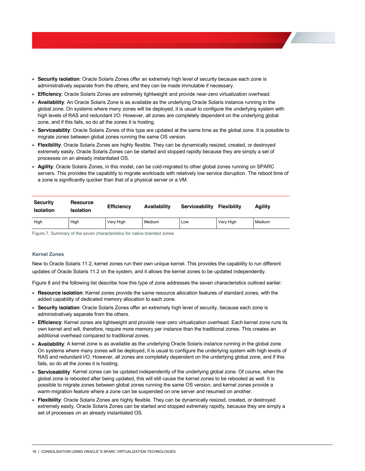- **» Security isolation**: Oracle Solaris Zones offer an extremely high level of security because each zone is administratively separate from the others, and they can be made immutable if necessary.
- **» Efficiency**: Oracle Solaris Zones are extremely lightweight and provide near-zero virtualization overhead.
- **» Availability**: An Oracle Solaris Zone is as available as the underlying Oracle Solaris instance running in the global zone. On systems where many zones will be deployed, it is usual to configure the underlying system with high levels of RAS and redundant I/O. However, all zones are completely dependent on the underlying global zone, and if this fails, so do all the zones it is hosting.
- **» Serviceability**: Oracle Solaris Zones of this type are updated at the same time as the global zone. It is possible to migrate zones between global zones running the same OS version.
- **» Flexibility**: Oracle Solaris Zones are highly flexible. They can be dynamically resized, created, or destroyed extremely easily. Oracle Solaris Zones can be started and stopped rapidly because they are simply a set of processes on an already instantiated OS.
- **» Agility**: Oracle Solaris Zones, in this model, can be cold-migrated to other global zones running on SPARC servers. This provides the capability to migrate workloads with relatively low service disruption. The reboot time of a zone is significantly quicker than that of a physical server or a VM.

| <b>Security</b><br><b>Isolation</b> | <b>Resource</b><br>Isolation | <b>Efficiency</b> | Availability | Serviceability | <b>Flexibility</b> | Aaility |
|-------------------------------------|------------------------------|-------------------|--------------|----------------|--------------------|---------|
| High                                | High                         | Very High         | Medium       | Low            | Very High          | Medium  |

Figure 7. Summary of the seven characteristics for native branded zones

## <span id="page-18-0"></span>**Kernel Zones**

New to Oracle Solaris 11.2, kernel zones run their own unique kernel. This provides the capability to run different updates of Oracle Solaris 11.2 on the system, and it allows the kernel zones to be updated independently.

Figure 8 and the following list describe how this type of zone addresses the seven characteristics outlined earlier:

- **» Resource isolation**: Kernel zones provide the same resource allocation features of standard zones, with the added capability of dedicated memory allocation to each zone.
- **» Security isolation**: Oracle Solaris Zones offer an extremely high level of security, because each zone is administratively separate from the others.
- **» Efficiency**: Kernel zones are lightweight and provide near-zero virtualization overhead. Each kernel zone runs its own kernel and will, therefore, require more memory per instance than the traditional zones. This creates an additional overhead compared to traditional zones.
- **» Availability**: A kernel zone is as available as the underlying Oracle Solaris instance running in the global zone. On systems where many zones will be deployed, it is usual to configure the underlying system with high levels of RAS and redundant I/O. However, all zones are completely dependent on the underlying global zone, and if this fails, so do all the zones it is hosting.
- **» Serviceability**: Kernel zones can be updated independently of the underlying global zone. Of course, when the global zone is rebooted after being updated, this will still cause the kernel zones to be rebooted as well. It is possible to migrate zones between global zones running the same OS version, and kernel zones provide a warm-migration feature where a zone can be suspended on one server and resumed on another.
- **» Flexibility**: Oracle Solaris Zones are highly flexible. They can be dynamically resized, created, or destroyed extremely easily. Oracle Solaris Zones can be started and stopped extremely rapidly, because they are simply a set of processes on an already instantiated OS.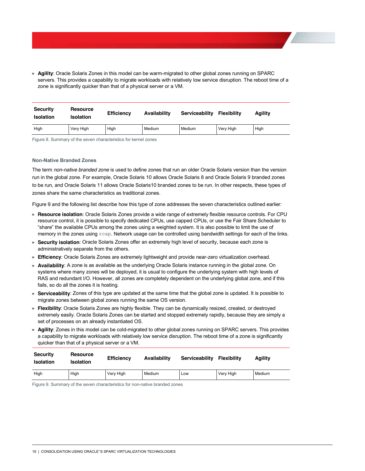**» Agility**: Oracle Solaris Zones in this model can be warm-migrated to other global zones running on SPARC servers. This provides a capability to migrate workloads with relatively low service disruption. The reboot time of a zone is significantly quicker than that of a physical server or a VM.

| <b>Security</b><br><b>Isolation</b> | <b>Resource</b><br><b>Isolation</b> | <b>Efficiency</b> | <b>Availability</b> | <b>Serviceability</b> | <b>Flexibility</b> | Agility |
|-------------------------------------|-------------------------------------|-------------------|---------------------|-----------------------|--------------------|---------|
| High                                | Very High                           | High              | Medium              | Medium                | Very High          | High    |

Figure 8. Summary of the seven characteristics for kernel zones

#### <span id="page-19-0"></span>**Non-Native Branded Zones**

The term *non-native branded zone* is used to define zones that run an older Oracle Solaris version than the version run in the global zone. For example, Oracle Solaris 10 allows Oracle Solaris 8 and Oracle Solaris 9 branded zones to be run, and Oracle Solaris 11 allows Oracle Solaris10 branded zones to be run. In other respects, these types of zones share the same characteristics as traditional zones.

Figure 9 and the following list describe how this type of zone addresses the seven characteristics outlined earlier:

- **» Resource isolation**: Oracle Solaris Zones provide a wide range of extremely flexible resource controls. For CPU resource control, it is possible to specify dedicated CPUs, use capped CPUs, or use the Fair Share Scheduler to "share" the available CPUs among the zones using a weighted system. It is also possible to limit the use of memory in the zones using  $r \text{cap}$ . Network usage can be controlled using bandwidth settings for each of the links.
- **» Security isolation**: Oracle Solaris Zones offer an extremely high level of security, because each zone is administratively separate from the others.
- **» Effic**i**ency**: Oracle Solaris Zones are extremely lightweight and provide near-zero virtualization overhead.
- **» Availability**: A zone is as available as the underlying Oracle Solaris instance running in the global zone. On systems where many zones will be deployed, it is usual to configure the underlying system with high levels of RAS and redundant I/O. However, all zones are completely dependent on the underlying global zone, and if this fails, so do all the zones it is hosting.
- **» Serviceability**: Zones of this type are updated at the same time that the global zone is updated. It is possible to migrate zones between global zones running the same OS version.
- **» Flexibility**: Oracle Solaris Zones are highly flexible. They can be dynamically resized, created, or destroyed extremely easily. Oracle Solaris Zones can be started and stopped extremely rapidly, because they are simply a set of processes on an already instantiated OS.
- **» Agility**: Zones in this model can be cold-migrated to other global zones running on SPARC servers. This provides a capability to migrate workloads with relatively low service disruption. The reboot time of a zone is significantly quicker than that of a physical server or a VM.

| <b>Security</b><br><b>Isolation</b> | <b>Resource</b><br><b>Isolation</b> | <b>Efficiency</b> | Availability | <b>Serviceability</b> | <b>Flexibility</b> | Aaility |
|-------------------------------------|-------------------------------------|-------------------|--------------|-----------------------|--------------------|---------|
| High                                | High                                | Very High         | Medium       | Low                   | Very High          | Medium  |

Figure 9. Summary of the seven characteristics for non-native branded zones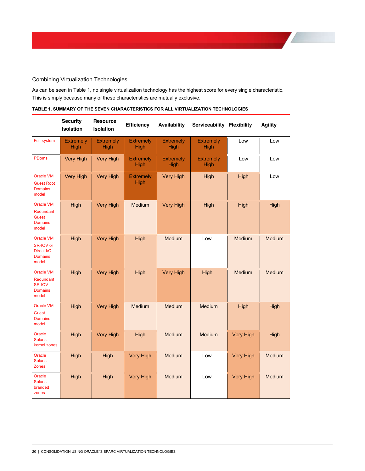# <span id="page-20-0"></span>Combining Virtualization Technologies

As can be seen in Table 1, no single virtualization technology has the highest score for every single characteristic. This is simply because many of these characteristics are mutually exclusive.

|                                                                          | <b>Security</b><br><b>Isolation</b> | <b>Resource</b><br><b>Isolation</b> | <b>Efficiency</b>        | Availability             | Serviceability Flexibility |                  | <b>Agility</b> |
|--------------------------------------------------------------------------|-------------------------------------|-------------------------------------|--------------------------|--------------------------|----------------------------|------------------|----------------|
| Full system                                                              | <b>Extremely</b><br>High            | <b>Extremely</b><br>High            | <b>Extremely</b><br>High | <b>Extremely</b><br>High | <b>Extremely</b><br>High   | Low              | Low            |
| <b>PDoms</b>                                                             | <b>Very High</b>                    | <b>Very High</b>                    | <b>Extremely</b><br>High | <b>Extremely</b><br>High | <b>Extremely</b><br>High   | Low              | Low            |
| <b>Oracle VM</b><br><b>Guest Root</b><br><b>Domains</b><br>model         | <b>Very High</b>                    | <b>Very High</b>                    | <b>Extremely</b><br>High | <b>Very High</b>         | High                       | High             | Low            |
| <b>Oracle VM</b><br>Redundant<br><b>Guest</b><br><b>Domains</b><br>model | High                                | <b>Very High</b>                    | <b>Medium</b>            | <b>Very High</b>         | High                       | High             | High           |
| <b>Oracle VM</b><br>SR-IOV or<br>Direct I/O<br><b>Domains</b><br>model   | High                                | <b>Very High</b>                    | High                     | Medium                   | Low                        | Medium           | Medium         |
| <b>Oracle VM</b><br>Redundant<br>SR-IOV<br><b>Domains</b><br>model       | High                                | <b>Very High</b>                    | High                     | <b>Very High</b>         | High                       | <b>Medium</b>    | Medium         |
| <b>Oracle VM</b><br><b>Guest</b><br><b>Domains</b><br>model              | High                                | <b>Very High</b>                    | <b>Medium</b>            | Medium                   | Medium                     | High             | High           |
| Oracle<br><b>Solaris</b><br>kernel zones                                 | High                                | <b>Very High</b>                    | High                     | Medium                   | Medium                     | <b>Very High</b> | High           |
| Oracle<br><b>Solaris</b><br><b>Zones</b>                                 | High                                | High                                | <b>Very High</b>         | Medium                   | Low                        | <b>Very High</b> | Medium         |
| Oracle<br><b>Solaris</b><br>branded<br>zones                             | High                                | High                                | <b>Very High</b>         | Medium                   | Low                        | <b>Very High</b> | Medium         |

## TABLE 1. SUMMARY OF THE SEVEN CHARACTERISTICS FOR ALL VIRTUALIZATION TECHNOLOGIES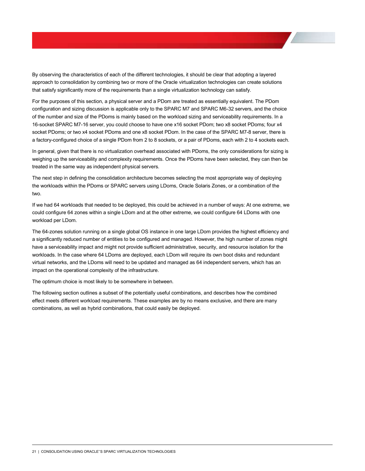By observing the characteristics of each of the different technologies, it should be clear that adopting a layered approach to consolidation by combining two or more of the Oracle virtualization technologies can create solutions that satisfy significantly more of the requirements than a single virtualization technology can satisfy.

For the purposes of this section, a physical server and a PDom are treated as essentially equivalent. The PDom configuration and sizing discussion is applicable only to the SPARC M7 and SPARC M6-32 servers, and the choice of the number and size of the PDoms is mainly based on the workload sizing and serviceability requirements. In a 16-socket SPARC M7-16 server, you could choose to have one x16 socket PDom; two x8 socket PDoms; four x4 socket PDoms; or two x4 socket PDoms and one x8 socket PDom. In the case of the SPARC M7-8 server, there is a factory-configured choice of a single PDom from 2 to 8 sockets, or a pair of PDoms, each with 2 to 4 sockets each.

In general, given that there is no virtualization overhead associated with PDoms, the only considerations for sizing is weighing up the serviceability and complexity requirements. Once the PDoms have been selected, they can then be treated in the same way as independent physical servers.

The next step in defining the consolidation architecture becomes selecting the most appropriate way of deploying the workloads within the PDoms or SPARC servers using LDoms, Oracle Solaris Zones, or a combination of the two.

If we had 64 workloads that needed to be deployed, this could be achieved in a number of ways: At one extreme, we could configure 64 zones within a single LDom and at the other extreme, we could configure 64 LDoms with one workload per LDom.

The 64-zones solution running on a single global OS instance in one large LDom provides the highest efficiency and a significantly reduced number of entities to be configured and managed. However, the high number of zones might have a serviceability impact and might not provide sufficient administrative, security, and resource isolation for the workloads. In the case where 64 LDoms are deployed, each LDom will require its own boot disks and redundant virtual networks, and the LDoms will need to be updated and managed as 64 independent servers, which has an impact on the operational complexity of the infrastructure.

The optimum choice is most likely to be somewhere in between.

The following section outlines a subset of the potentially useful combinations, and describes how the combined effect meets different workload requirements. These examples are by no means exclusive, and there are many combinations, as well as hybrid combinations, that could easily be deployed.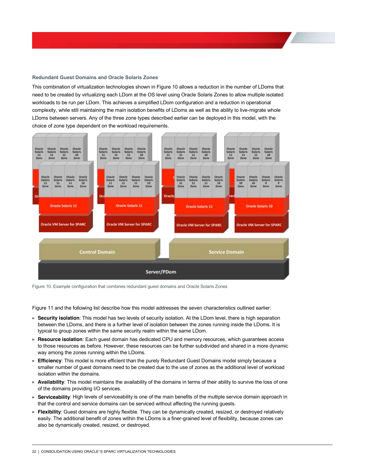#### <span id="page-22-0"></span>**Redundant\*Guest\*Domains\*and\*Oracle\*Solaris\*Zones**

This combination of virtualization technologies shown in Figure 10 allows a reduction in the number of LDoms that need to be created by virtualizing each LDom at the OS level using Oracle Solaris Zones to allow multiple isolated workloads to be run per LDom. This achieves a simplified LDom configuration and a reduction in operational complexity, while still maintaining the main isolation benefits of LDoms as well as the ability to live-migrate whole LDoms between servers. Any of the three zone types described earlier can be deployed in this model, with the choice of zone type dependent on the workload requirements.



Figure 10. Example configuration that combines redundant guest domains and Oracle Solaris Zones

Figure 11 and the following list describe how this model addresses the seven characteristics outlined earlier:

- **» Security isolation**: This model has two levels of security isolation. At the LDom level, there is high separation between the LDoms, and there is a further level of isolation between the zones running inside the LDoms. It is typical to group zones within the same security realm within the same LDom.
- **» Resource isolation**: Each guest domain has dedicated CPU and memory resources, which guarantees access to those resources as before. However, these resources can be further subdivided and shared in a more dynamic way among the zones running within the LDoms.
- **» Efficiency**: This model is more efficient than the purely Redundant Guest Domains model simply because a smaller number of guest domains need to be created due to the use of zones as the additional level of workload isolation within the domains.
- **» Availability**: This model maintains the availability of the domains in terms of their ability to survive the loss of one of the domains providing I/O services.
- **» Serviceability**: High levels of serviceability is one of the main benefits of the multiple service domain approach in that the control and service domains can be serviced without affecting the running guests.
- **» Flexibility**: Guest domains are highly flexible. They can be dynamically created, resized, or destroyed relatively easily. The additional benefit of zones within the LDoms is a finer-grained level of flexibility, because zones can also be dynamically created, resized, or destroyed.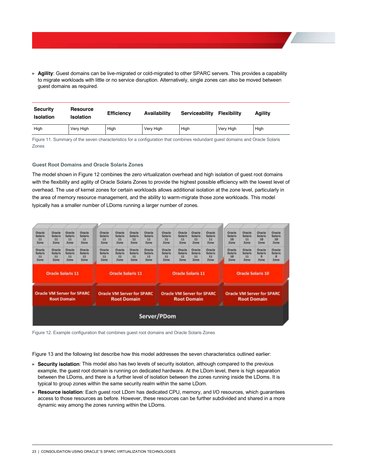**» Agility**: Guest domains can be live-migrated or cold-migrated to other SPARC servers. This provides a capability to migrate workloads with little or no service disruption. Alternatively, single zones can also be moved between guest domains as required.

| <b>Security</b><br><b>Isolation</b> | <b>Resource</b><br><b>Isolation</b> | <b>Efficiency</b> | Availability | <b>Serviceability</b> | <b>Flexibility</b> | Aaility |
|-------------------------------------|-------------------------------------|-------------------|--------------|-----------------------|--------------------|---------|
| High                                | Very High                           | High              | Very High    | High                  | Very High          | High    |

Figure 11. Summary of the seven characteristics for a configuration that combines redundant guest domains and Oracle Solaris Zones

### <span id="page-23-0"></span>**Guest Root Domains and Oracle Solaris Zones**

The model shown in Figure 12 combines the zero virtualization overhead and high isolation of guest root domains with the flexibility and agility of Oracle Solaris Zones to provide the highest possible efficiency with the lowest level of overhead. The use of kernel zones for certain workloads allows additional isolation at the zone level, particularly in the area of memory resource management, and the ability to warm-migrate those zone workloads. This model typically has a smaller number of LDoms running a larger number of zones.



Figure 12. Example configuration that combines guest root domains and Oracle Solaris Zones

Figure 13 and the following list describe how this model addresses the seven characteristics outlined earlier:

- **» Security isolation**: This model also has two levels of security isolation, although compared to the previous example, the guest root domain is running on dedicated hardware. At the LDom level, there is high separation between the LDoms, and there is a further level of isolation between the zones running inside the LDoms. It is typical to group zones within the same security realm within the same LDom.
- **» Resource isolation**: Each guest root LDom has dedicated CPU, memory, and I/O resources, which guarantees access to those resources as before. However, these resources can be further subdivided and shared in a more dynamic way among the zones running within the LDoms.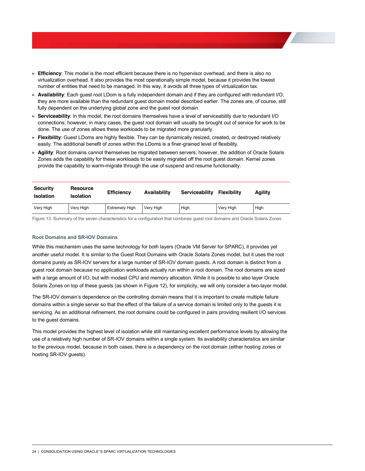- **» Efficiency**: This model is the most efficient because there is no hypervisor overhead, and there is also no virtualization overhead. It also provides the most operationally simple model, because it provides the lowest number of entities that need to be managed. In this way, it avoids all three types of virtualization tax.
- **» Availability**: Each guest root LDom is a fully independent domain and if they are configured with redundant I/O, they are more available than the redundant guest domain model described earlier. The zones are, of course, still fully dependent on the underlying global zone and the guest root domain.
- **» Serviceability**: In this model, the root domains themselves have a level of serviceability due to redundant I/O connections; however, in many cases, the guest root domain will usually be brought out of service for work to be done. The use of zones allows these workloads to be migrated more granularly.
- **» Flexibility**: Guest LDoms are highly flexible. They can be dynamically resized, created, or destroyed relatively easily. The additional benefit of zones within the LDoms is a finer-grained level of flexibility.
- **» Agility**: Root domains cannot themselves be migrated between servers; however, the addition of Oracle Solaris Zones adds the capability for these workloads to be easily migrated off the root guest domain. Kernel zones provide the capability to warm-migrate through the use of suspend and resume functionality.

| <b>Security</b><br><b>Isolation</b> | <b>Resource</b><br><b>Isolation</b> | <b>Efficiency</b>     | Availability | Serviceability | <b>Flexibility</b> | Aaility |
|-------------------------------------|-------------------------------------|-----------------------|--------------|----------------|--------------------|---------|
| Very High                           | Very High                           | <b>Extremely High</b> | Verv High    | High           | Very High          | High    |

Figure 13. Summary of the seven characteristics for a configuration that combines guest root domains and Oracle Solaris Zones

#### <span id="page-24-0"></span>**Root Domains and SR-IOV Domains**

While this mechanism uses the same technology for both layers (Oracle VM Server for SPARC), it provides yet another useful model. It is similar to the Guest Root Domains with Oracle Solaris Zones model, but it uses the root domains purely as SR-IOV servers for a large number of SR-IOV domain guests. A root domain is distinct from a guest root domain because no application workloads actually run within a root domain. The root domains are sized with a large amount of I/O, but with modest CPU and memory allocation. While it is possible to also layer Oracle Solaris Zones on top of these guests (as shown in Figure 12), for simplicity, we will only consider a two-layer model.

The SR-IOV domain's dependence on the controlling domain means that it is important to create multiple failure domains within a single server so that the effect of the failure of a service domain is limited only to the guests it is servicing. As an additional refinement, the root domains could be configured in pairs providing resilient I/O services to the guest domains.

This model provides the highest level of isolation while still maintaining excellent performance levels by allowing the use of a relatively high number of SR-IOV domains within a single system. Its availability characteristics are similar to the previous model, because in both cases, there is a dependency on the root domain (either hosting zones or hosting SR-IOV guests).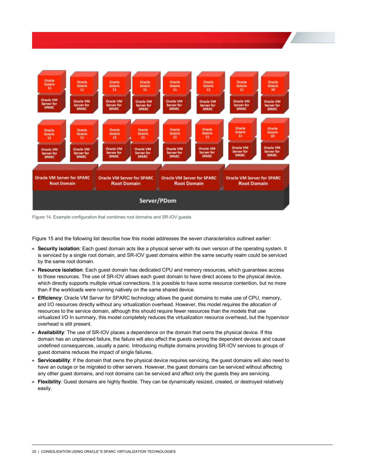

Figure 14. Example configuration that combines root domains and SR-IOV guests

Figure 15 and the following list describe how this model addresses the seven characteristics outlined earlier:

- **» Security isolation**: Each guest domain acts like a physical server with its own version of the operating system. It is serviced by a single root domain, and SR-IOV guest domains within the same security realm could be serviced by the same root domain.
- **» Resource isolation**: Each guest domain has dedicated CPU and memory resources, which guarantees access to those resources. The use of SR-IOV allows each guest domain to have direct access to the physical device, which directly supports multiple virtual connections. It is possible to have some resource contention, but no more than if the workloads were running natively on the same shared device.
- **» Efficiency**: Oracle VM Server for SPARC technology allows the guest domains to make use of CPU, memory, and I/O resources directly without any virtualization overhead. However, this model requires the allocation of resources to the service domain, although this should require fewer resources than the models that use virtualized I/O In summary, this model completely reduces the virtualization resource overhead, but the hypervisor overhead is still present.
- **» Availability**: The use of SR-IOV places a dependence on the domain that owns the physical device. If this domain has an unplanned failure, the failure will also affect the guests owning the dependent devices and cause undefined consequences, usually a panic. Introducing multiple domains providing SR-IOV services to groups of guest domains reduces the impact of single failures.
- **» Serviceability**: If the domain that owns the physical device requires servicing, the guest domains will also need to have an outage or be migrated to other servers. However, the guest domains can be serviced without affecting any other guest domains, and root domains can be serviced and affect only the guests they are servicing.
- **» Flexibility**: Guest domains are highly flexible. They can be dynamically resized, created, or destroyed relatively easily.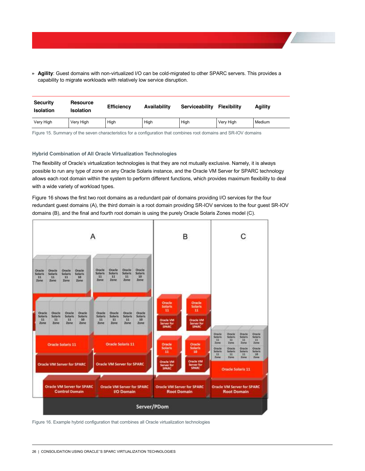**» Agility**: Guest domains with non-virtualized I/O can be cold-migrated to other SPARC servers. This provides a capability to migrate workloads with relatively low service disruption.

| <b>Security</b><br><b>Isolation</b> | <b>Resource</b><br>Isolation | <b>Efficiency</b> | Availability | Serviceability | <b>Flexibility</b> | Agility |
|-------------------------------------|------------------------------|-------------------|--------------|----------------|--------------------|---------|
| Very High                           | Very High                    | High              | High         | High           | Very High          | Medium  |

Figure 15. Summary of the seven characteristics for a configuration that combines root domains and SR-IOV domains

#### <span id="page-26-0"></span>**Hybrid Combination of All Oracle Virtualization Technologies**

The flexibility of Oracle's virtualization technologies is that they are not mutually exclusive. Namely, it is always possible to run any type of zone on any Oracle Solaris instance, and the Oracle VM Server for SPARC technology allows each root domain within the system to perform different functions, which provides maximum flexibility to deal with a wide variety of workload types.

Figure 16 shows the first two root domains as a redundant pair of domains providing I/O services for the four redundant guest domains (A), the third domain is a root domain providing SR-IOV services to the four guest SR-IOV domains (B), and the final and fourth root domain is using the purely Oracle Solaris Zones model (C).



Figure 16. Example hybrid configuration that combines all Oracle virtualization technologies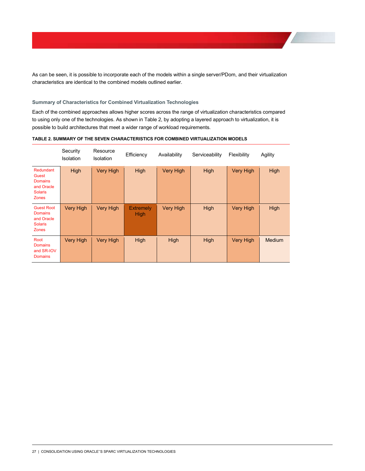As can be seen, it is possible to incorporate each of the models within a single server/PDom, and their virtualization characteristics are identical to the combined models outlined earlier.

# <span id="page-27-0"></span>**Summary of Characteristics for Combined Virtualization Technologies**

Each of the combined approaches allows higher scores across the range of virtualization characteristics compared to using only one of the technologies. As shown in Table 2, by adopting a layered approach to virtualization, it is possible to build architectures that meet a wider range of workload requirements.

|                                                                                      | Security<br>Isolation | Resource<br><b>Isolation</b> | Efficiency                      | Availability     | Serviceability | Flexibility      | Agility       |
|--------------------------------------------------------------------------------------|-----------------------|------------------------------|---------------------------------|------------------|----------------|------------------|---------------|
| Redundant<br>Guest<br><b>Domains</b><br>and Oracle<br><b>Solaris</b><br><b>Zones</b> | High                  | <b>Very High</b>             | <b>High</b>                     | <b>Very High</b> | High           | <b>Very High</b> | <b>High</b>   |
| <b>Guest Root</b><br><b>Domains</b><br>and Oracle<br><b>Solaris</b><br><b>Zones</b>  | <b>Very High</b>      | <b>Very High</b>             | <b>Extremely</b><br><b>High</b> | <b>Very High</b> | High           | <b>Very High</b> | <b>High</b>   |
| Root<br><b>Domains</b><br>and SR-IOV<br><b>Domains</b>                               | <b>Very High</b>      | <b>Very High</b>             | <b>High</b>                     | High             | High           | <b>Very High</b> | <b>Medium</b> |

# TABLE 2. SUMMARY OF THE SEVEN CHARACTERISTICS FOR COMBINED VIRTUALIZATION MODELS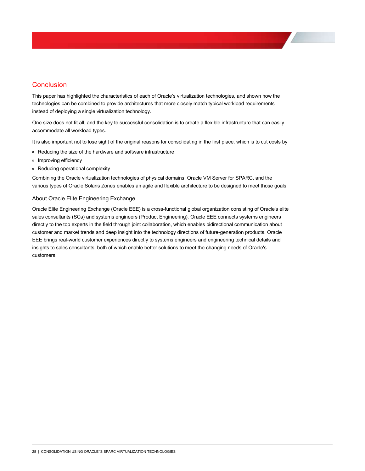# <span id="page-28-0"></span>**Conclusion**

This paper has highlighted the characteristics of each of Oracle's virtualization technologies, and shown how the technologies can be combined to provide architectures that more closely match typical workload requirements instead of deploying a single virtualization technology.

One size does not fit all, and the key to successful consolidation is to create a flexible infrastructure that can easily accommodate all workload types.

It is also important not to lose sight of the original reasons for consolidating in the first place, which is to cut costs by

- **»** Reducing the size of the hardware and software infrastructure
- **»** Improving efficiency
- **»** Reducing operational complexity

Combining the Oracle virtualization technologies of physical domains, Oracle VM Server for SPARC, and the various types of Oracle Solaris Zones enables an agile and flexible architecture to be designed to meet those goals.

# <span id="page-28-1"></span>About Oracle Elite Engineering Exchange

Oracle Elite Engineering Exchange (Oracle EEE) is a cross-functional global organization consisting of Oracle's elite sales consultants (SCs) and systems engineers (Product Engineering). Oracle EEE connects systems engineers directly to the top experts in the field through joint collaboration, which enables bidirectional communication about customer and market trends and deep insight into the technology directions of future-generation products. Oracle EEE brings real-world customer experiences directly to systems engineers and engineering technical details and insights to sales consultants, both of which enable better solutions to meet the changing needs of Oracle's customers.